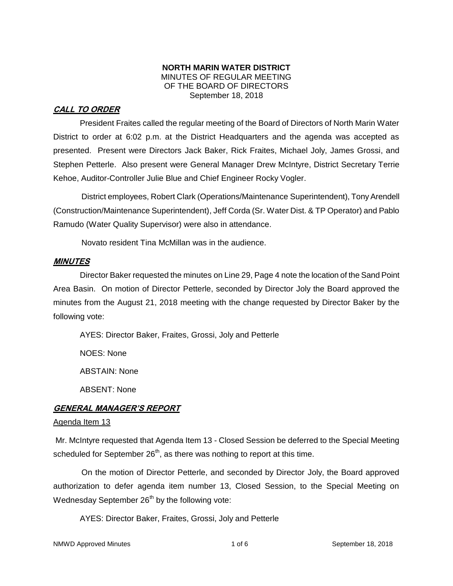#### **NORTH MARIN WATER DISTRICT** MINUTES OF REGULAR MEETING OF THE BOARD OF DIRECTORS September 18, 2018

# **CALL TO ORDER**

President Fraites called the regular meeting of the Board of Directors of North Marin Water District to order at 6:02 p.m. at the District Headquarters and the agenda was accepted as presented. Present were Directors Jack Baker, Rick Fraites, Michael Joly, James Grossi, and Stephen Petterle. Also present were General Manager Drew McIntyre, District Secretary Terrie Kehoe, Auditor-Controller Julie Blue and Chief Engineer Rocky Vogler.

District employees, Robert Clark (Operations/Maintenance Superintendent), Tony Arendell (Construction/Maintenance Superintendent), Jeff Corda (Sr. Water Dist. & TP Operator) and Pablo Ramudo (Water Quality Supervisor) were also in attendance.

Novato resident Tina McMillan was in the audience.

## **MINUTES**

Director Baker requested the minutes on Line 29, Page 4 note the location of the Sand Point Area Basin. On motion of Director Petterle, seconded by Director Joly the Board approved the minutes from the August 21, 2018 meeting with the change requested by Director Baker by the following vote:

AYES: Director Baker, Fraites, Grossi, Joly and Petterle

NOES: None

ABSTAIN: None

ABSENT: None

## **GENERAL MANAGER'S REPORT**

#### Agenda Item 13

Mr. McIntyre requested that Agenda Item 13 - Closed Session be deferred to the Special Meeting scheduled for September  $26<sup>th</sup>$ , as there was nothing to report at this time.

On the motion of Director Petterle, and seconded by Director Joly, the Board approved authorization to defer agenda item number 13, Closed Session, to the Special Meeting on Wednesday September  $26<sup>th</sup>$  by the following vote:

AYES: Director Baker, Fraites, Grossi, Joly and Petterle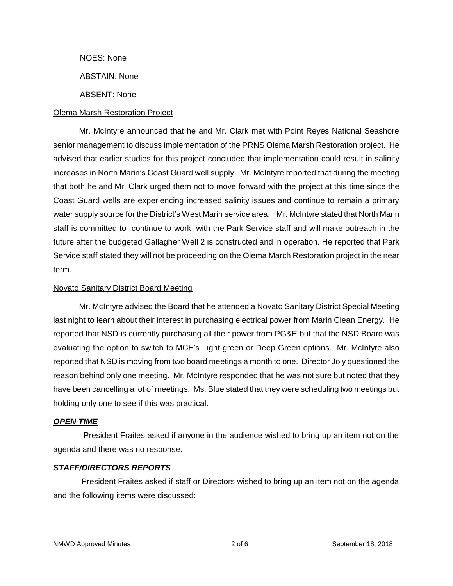NOES: None

ABSTAIN: None

ABSENT: None

#### Olema Marsh Restoration Project

Mr. McIntyre announced that he and Mr. Clark met with Point Reyes National Seashore senior management to discuss implementation of the PRNS Olema Marsh Restoration project. He advised that earlier studies for this project concluded that implementation could result in salinity increases in North Marin's Coast Guard well supply. Mr. McIntyre reported that during the meeting that both he and Mr. Clark urged them not to move forward with the project at this time since the Coast Guard wells are experiencing increased salinity issues and continue to remain a primary water supply source for the District's West Marin service area. Mr. McIntyre stated that North Marin staff is committed to continue to work with the Park Service staff and will make outreach in the future after the budgeted Gallagher Well 2 is constructed and in operation. He reported that Park Service staff stated they will not be proceeding on the Olema March Restoration project in the near term.

#### Novato Sanitary District Board Meeting

Mr. McIntyre advised the Board that he attended a Novato Sanitary District Special Meeting last night to learn about their interest in purchasing electrical power from Marin Clean Energy. He reported that NSD is currently purchasing all their power from PG&E but that the NSD Board was evaluating the option to switch to MCE's Light green or Deep Green options. Mr. McIntyre also reported that NSD is moving from two board meetings a month to one. Director Joly questioned the reason behind only one meeting. Mr. McIntyre responded that he was not sure but noted that they have been cancelling a lot of meetings. Ms. Blue stated that they were scheduling two meetings but holding only one to see if this was practical.

#### *OPEN TIME*

President Fraites asked if anyone in the audience wished to bring up an item not on the agenda and there was no response.

#### *STAFF/DIRECTORS REPORTS*

President Fraites asked if staff or Directors wished to bring up an item not on the agenda and the following items were discussed: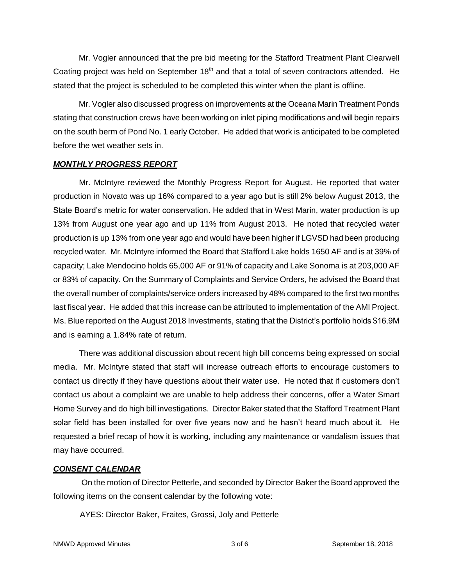Mr. Vogler announced that the pre bid meeting for the Stafford Treatment Plant Clearwell Coating project was held on September  $18<sup>th</sup>$  and that a total of seven contractors attended. He stated that the project is scheduled to be completed this winter when the plant is offline.

Mr. Vogler also discussed progress on improvements at the Oceana Marin Treatment Ponds stating that construction crews have been working on inlet piping modifications and will begin repairs on the south berm of Pond No. 1 early October. He added that work is anticipated to be completed before the wet weather sets in.

#### *MONTHLY PROGRESS REPORT*

Mr. McIntyre reviewed the Monthly Progress Report for August. He reported that water production in Novato was up 16% compared to a year ago but is still 2% below August 2013, the State Board's metric for water conservation. He added that in West Marin, water production is up 13% from August one year ago and up 11% from August 2013. He noted that recycled water production is up 13% from one year ago and would have been higher if LGVSD had been producing recycled water. Mr. McIntyre informed the Board that Stafford Lake holds 1650 AF and is at 39% of capacity; Lake Mendocino holds 65,000 AF or 91% of capacity and Lake Sonoma is at 203,000 AF or 83% of capacity. On the Summary of Complaints and Service Orders, he advised the Board that the overall number of complaints/service orders increased by 48% compared to the first two months last fiscal year. He added that this increase can be attributed to implementation of the AMI Project. Ms. Blue reported on the August 2018 Investments, stating that the District's portfolio holds \$16.9M and is earning a 1.84% rate of return.

There was additional discussion about recent high bill concerns being expressed on social media. Mr. McIntyre stated that staff will increase outreach efforts to encourage customers to contact us directly if they have questions about their water use. He noted that if customers don't contact us about a complaint we are unable to help address their concerns, offer a Water Smart Home Survey and do high bill investigations. Director Baker stated that the Stafford Treatment Plant solar field has been installed for over five years now and he hasn't heard much about it. He requested a brief recap of how it is working, including any maintenance or vandalism issues that may have occurred.

#### *CONSENT CALENDAR*

On the motion of Director Petterle, and seconded by Director Baker the Board approved the following items on the consent calendar by the following vote:

AYES: Director Baker, Fraites, Grossi, Joly and Petterle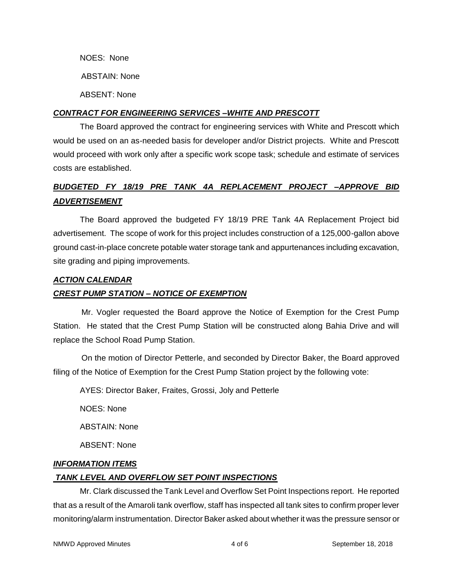NOES: None ABSTAIN: None ABSENT: None

## *CONTRACT FOR ENGINEERING SERVICES –WHITE AND PRESCOTT*

The Board approved the contract for engineering services with White and Prescott which would be used on an as-needed basis for developer and/or District projects. White and Prescott would proceed with work only after a specific work scope task; schedule and estimate of services costs are established.

# *BUDGETED FY 18/19 PRE TANK 4A REPLACEMENT PROJECT –APPROVE BID ADVERTISEMENT*

The Board approved the budgeted FY 18/19 PRE Tank 4A Replacement Project bid advertisement. The scope of work for this project includes construction of a 125,000-gallon above ground cast-in-place concrete potable water storage tank and appurtenances including excavation, site grading and piping improvements.

#### *ACTION CALENDAR*

#### *CREST PUMP STATION – NOTICE OF EXEMPTION*

Mr. Vogler requested the Board approve the Notice of Exemption for the Crest Pump Station. He stated that the Crest Pump Station will be constructed along Bahia Drive and will replace the School Road Pump Station.

On the motion of Director Petterle, and seconded by Director Baker, the Board approved filing of the Notice of Exemption for the Crest Pump Station project by the following vote:

AYES: Director Baker, Fraites, Grossi, Joly and Petterle

NOES: None

ABSTAIN: None

ABSENT: None

#### *INFORMATION ITEMS*

#### *TANK LEVEL AND OVERFLOW SET POINT INSPECTIONS*

Mr. Clark discussed the Tank Level and Overflow Set Point Inspections report. He reported that as a result of the Amaroli tank overflow, staff has inspected all tank sites to confirm proper lever monitoring/alarm instrumentation. Director Baker asked about whether it was the pressure sensor or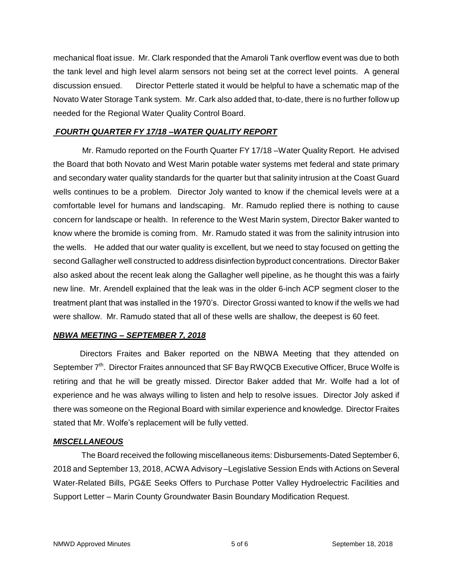mechanical float issue. Mr. Clark responded that the Amaroli Tank overflow event was due to both the tank level and high level alarm sensors not being set at the correct level points. A general discussion ensued. Director Petterle stated it would be helpful to have a schematic map of the Novato Water Storage Tank system. Mr. Cark also added that, to-date, there is no further follow up needed for the Regional Water Quality Control Board.

## *FOURTH QUARTER FY 17/18 –WATER QUALITY REPORT*

Mr. Ramudo reported on the Fourth Quarter FY 17/18 –Water Quality Report. He advised the Board that both Novato and West Marin potable water systems met federal and state primary and secondary water quality standards for the quarter but that salinity intrusion at the Coast Guard wells continues to be a problem. Director Joly wanted to know if the chemical levels were at a comfortable level for humans and landscaping. Mr. Ramudo replied there is nothing to cause concern for landscape or health. In reference to the West Marin system, Director Baker wanted to know where the bromide is coming from. Mr. Ramudo stated it was from the salinity intrusion into the wells. He added that our water quality is excellent, but we need to stay focused on getting the second Gallagher well constructed to address disinfection byproduct concentrations. Director Baker also asked about the recent leak along the Gallagher well pipeline, as he thought this was a fairly new line. Mr. Arendell explained that the leak was in the older 6-inch ACP segment closer to the treatment plant that was installed in the 1970's. Director Grossi wanted to know if the wells we had were shallow. Mr. Ramudo stated that all of these wells are shallow, the deepest is 60 feet.

#### *NBWA MEETING – SEPTEMBER 7, 2018*

Directors Fraites and Baker reported on the NBWA Meeting that they attended on September 7<sup>th</sup>. Director Fraites announced that SF Bay RWQCB Executive Officer, Bruce Wolfe is retiring and that he will be greatly missed. Director Baker added that Mr. Wolfe had a lot of experience and he was always willing to listen and help to resolve issues. Director Joly asked if there was someone on the Regional Board with similar experience and knowledge. Director Fraites stated that Mr. Wolfe's replacement will be fully vetted.

#### *MISCELLANEOUS*

The Board received the following miscellaneous items: Disbursements-Dated September 6, 2018 and September 13, 2018, ACWA Advisory –Legislative Session Ends with Actions on Several Water-Related Bills, PG&E Seeks Offers to Purchase Potter Valley Hydroelectric Facilities and Support Letter – Marin County Groundwater Basin Boundary Modification Request.